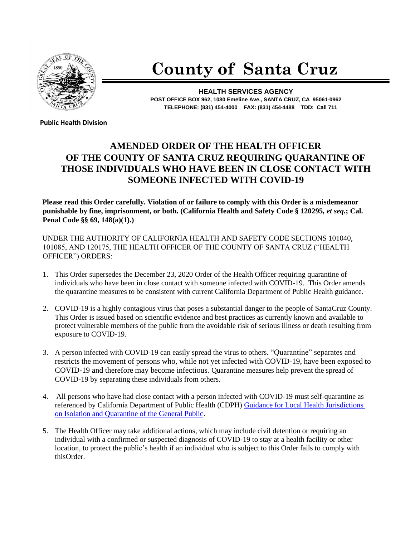

## **County of Santa Cruz**

**HEALTH SERVICES AGENCY POST OFFICE BOX 962, 1080 Emeline Ave., SANTA CRUZ, CA 95061-0962 TELEPHONE: (831) 454-4000 FAX: (831) 454-4488 TDD: Call 711**

**Public Health Division**

## **AMENDED ORDER OF THE HEALTH OFFICER OF THE COUNTY OF SANTA CRUZ REQUIRING QUARANTINE OF THOSE INDIVIDUALS WHO HAVE BEEN IN CLOSE CONTACT WITH SOMEONE INFECTED WITH COVID-19**

**Please read this Order carefully. Violation of or failure to comply with this Order is a misdemeanor punishable by fine, imprisonment, or both. (California Health and Safety Code § 120295,** *et seq.***; Cal. Penal Code §§ 69, 148(a)(1).)**

UNDER THE AUTHORITY OF CALIFORNIA HEALTH AND SAFETY CODE SECTIONS 101040, 101085, AND 120175, THE HEALTH OFFICER OF THE COUNTY OF SANTA CRUZ ("HEALTH OFFICER") ORDERS:

- 1. This Order supersedes the December 23, 2020 Order of the Health Officer requiring quarantine of individuals who have been in close contact with someone infected with COVID-19. This Order amends the quarantine measures to be consistent with current California Department of Public Health guidance.
- 2. COVID-19 is a highly contagious virus that poses a substantial danger to the people of SantaCruz County. This Order is issued based on scientific evidence and best practices as currently known and available to protect vulnerable members of the public from the avoidable risk of serious illness or death resulting from exposure to COVID-19.
- 3. A person infected with COVID-19 can easily spread the virus to others. "Quarantine" separates and restricts the movement of persons who, while not yet infected with COVID-19, have been exposed to COVID-19 and therefore may become infectious. Quarantine measures help prevent the spread of COVID-19 by separating these individuals from others.
- 4. All persons who have had close contact with a person infected with COVID-19 must self-quarantine as referenced by California Department of Public Health (CDPH) Guidance for Local [Health Jurisdictions](https://www.cdph.ca.gov/Programs/CID/DCDC/Pages/COVID-19/Guidance-on-Isolation-and-Quarantine-for-COVID-19-Contact-Tracing.aspx)  [on Isolation and Quarantine of the General Public.](https://www.cdph.ca.gov/Programs/CID/DCDC/Pages/COVID-19/Guidance-on-Isolation-and-Quarantine-for-COVID-19-Contact-Tracing.aspx)
- 5. The Health Officer may take additional actions, which may include civil detention or requiring an individual with a confirmed or suspected diagnosis of COVID-19 to stay at a health facility or other location, to protect the public's health if an individual who is subject to this Order fails to comply with thisOrder.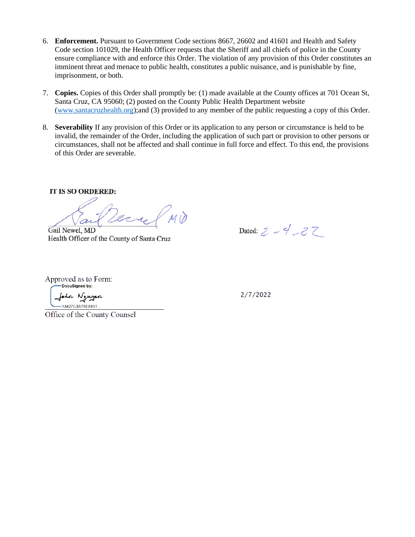- 6. **Enforcement.** Pursuant to Government Code sections 8667, 26602 and 41601 and Health and Safety Code section 101029, the Health Officer requests that the Sheriff and all chiefs of police in the County ensure compliance with and enforce this Order. The violation of any provision of this Order constitutes an imminent threat and menace to public health, constitutes a public nuisance, and is punishable by fine, imprisonment, or both.
- 7. **Copies.** Copies of this Order shall promptly be: (1) made available at the County offices at 701 Ocean St, Santa Cruz, CA 95060; (2) posted on the County Public Health Department website [\(www.santacruzhealth.org\)](http://www.santacruzhealth.org/);and (3) provided to any member of the public requesting a copy of this Order.
- 8. **Severability** If any provision of this Order or its application to any person or circumstance is held to be invalid, the remainder of the Order, including the application of such part or provision to other persons or circumstances, shall not be affected and shall continue in full force and effect. To this end, the provisions of this Order are severable.

IT IS SO ORDERED:

Gail Newel, MD

Health Officer of the County of Santa Cruz

Dated:  $2 - 4 - 27$ 

Approved as to Form:

-DocuSigned by: n Nguyen 13427C3A75E8491

 $2/7/2022$ 

Office of the County Counsel